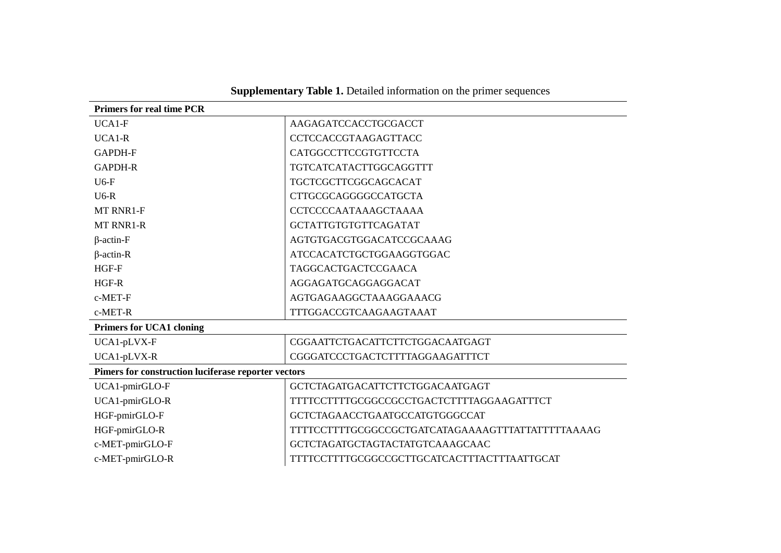| <b>Supplementary Table 1.</b> Detailed information on the primer sequences |  |  |  |
|----------------------------------------------------------------------------|--|--|--|
|----------------------------------------------------------------------------|--|--|--|

| <b>Primers for real time PCR</b>                    |                                                   |  |  |
|-----------------------------------------------------|---------------------------------------------------|--|--|
| $UCA1-F$                                            | AAGAGATCCACCTGCGACCT                              |  |  |
| UCA1-R                                              | CCTCCACCGTAAGAGTTACC                              |  |  |
| <b>GAPDH-F</b>                                      | CATGGCCTTCCGTGTTCCTA                              |  |  |
| <b>GAPDH-R</b>                                      | TGTCATCATACTTGGCAGGTTT                            |  |  |
| $U6-F$                                              | TGCTCGCTTCGGCAGCACAT                              |  |  |
| $U6-R$                                              | CTTGCGCAGGGGCCATGCTA                              |  |  |
| MT RNR1-F                                           | <b>CCTCCCCAATAAAGCTAAAA</b>                       |  |  |
| <b>MT RNR1-R</b>                                    | <b>GCTATTGTGTGTTCAGATAT</b>                       |  |  |
| $\beta$ -actin-F                                    | AGTGTGACGTGGACATCCGCAAAG                          |  |  |
| $\beta$ -actin-R                                    | ATCCACATCTGCTGGAAGGTGGAC                          |  |  |
| HGF-F                                               | <b>TAGGCACTGACTCCGAACA</b>                        |  |  |
| HGF-R                                               | AGGAGATGCAGGAGGACAT                               |  |  |
| c-MET-F                                             | AGTGAGAAGGCTAAAGGAAACG                            |  |  |
| c-MET-R                                             | TTTGGACCGTCAAGAAGTAAAT                            |  |  |
| <b>Primers for UCA1 cloning</b>                     |                                                   |  |  |
| UCA1-pLVX-F                                         | CGGAATTCTGACATTCTTCTGGACAATGAGT                   |  |  |
| UCA1-pLVX-R                                         | CGGGATCCCTGACTCTTTTAGGAAGATTTCT                   |  |  |
| Pimers for construction luciferase reporter vectors |                                                   |  |  |
| UCA1-pmirGLO-F                                      | GCTCTAGATGACATTCTTCTGGACAATGAGT                   |  |  |
| UCA1-pmirGLO-R                                      | TTTTCCTTTTGCGGCCGCCTGACTCTTTTAGGAAGATTTCT         |  |  |
| HGF-pmirGLO-F                                       | GCTCTAGAACCTGAATGCCATGTGGGCCAT                    |  |  |
| HGF-pmirGLO-R                                       | TTTTCCTTTTGCGGCCGCTGATCATAGAAAAGTTTATTATTTTTAAAAG |  |  |
| c-MET-pmirGLO-F                                     | GCTCTAGATGCTAGTACTATGTCAAAGCAAC                   |  |  |
| c-MET-pmirGLO-R                                     | TTTTCCTTTTGCGGCCGCTTGCATCACTTTACTTTAATTGCAT       |  |  |
|                                                     |                                                   |  |  |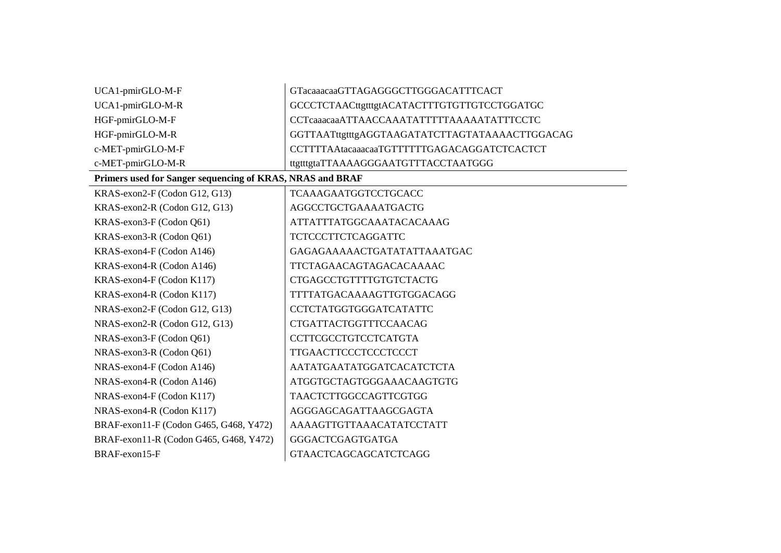| UCA1-pmirGLO-M-F                                          | GTacaaacaaGTTAGAGGGCTTGGGACATTTCACT            |
|-----------------------------------------------------------|------------------------------------------------|
| UCA1-pmirGLO-M-R                                          | GCCCTCTAACttgtttgtACATACTTTGTGTTGTCCTGGATGC    |
| HGF-pmirGLO-M-F                                           | CCTcaaacaaATTAACCAAATATTTTTAAAAATATTTCCTC      |
| HGF-pmirGLO-M-R                                           | GGTTAATttgtttgAGGTAAGATATCTTAGTATAAAACTTGGACAG |
| c-MET-pmirGLO-M-F                                         | CCTTTTAAtacaaacaaTGTTTTTTGAGACAGGATCTCACTCT    |
| c-MET-pmirGLO-M-R                                         | ttgtttgtaTTAAAAGGGAATGTTTACCTAATGGG            |
| Primers used for Sanger sequencing of KRAS, NRAS and BRAF |                                                |
| KRAS-exon2-F (Codon G12, G13)                             | <b>TCAAAGAATGGTCCTGCACC</b>                    |
| KRAS-exon2-R (Codon G12, G13)                             | AGGCCTGCTGAAAATGACTG                           |
| KRAS-exon3-F (Codon Q61)                                  | ATTATTTATGGCAAATACACAAAG                       |
| KRAS-exon3-R (Codon Q61)                                  | <b>TCTCCCTTCTCAGGATTC</b>                      |
| KRAS-exon4-F (Codon A146)                                 | GAGAGAAAAACTGATATATTAAATGAC                    |
| KRAS-exon4-R (Codon A146)                                 | TTCTAGAACAGTAGACACAAAAC                        |
| KRAS-exon4-F (Codon K117)                                 | CTGAGCCTGTTTTGTGTCTACTG                        |
| KRAS-exon4-R (Codon K117)                                 | TTTTATGACAAAAGTTGTGGACAGG                      |
| NRAS-exon2-F (Codon G12, G13)                             | <b>CCTCTATGGTGGGATCATATTC</b>                  |
| NRAS-exon2-R (Codon G12, G13)                             | CTGATTACTGGTTTCCAACAG                          |
| NRAS-exon3-F (Codon Q61)                                  | <b>CCTTCGCCTGTCCTCATGTA</b>                    |
| NRAS-exon3-R (Codon Q61)                                  | <b>TTGAACTTCCCTCCCTCCCT</b>                    |
| NRAS-exon4-F (Codon A146)                                 | AATATGAATATGGATCACATCTCTA                      |
| NRAS-exon4-R (Codon A146)                                 | ATGGTGCTAGTGGGAAACAAGTGTG                      |
| NRAS-exon4-F (Codon K117)                                 | <b>TAACTCTTGGCCAGTTCGTGG</b>                   |
| NRAS-exon4-R (Codon K117)                                 | AGGGAGCAGATTAAGCGAGTA                          |
| BRAF-exon11-F (Codon G465, G468, Y472)                    | AAAAGTTGTTAAACATATCCTATT                       |
| BRAF-exon11-R (Codon G465, G468, Y472)                    | <b>GGGACTCGAGTGATGA</b>                        |
| BRAF-exon15-F                                             | <b>GTAACTCAGCAGCATCTCAGG</b>                   |
|                                                           |                                                |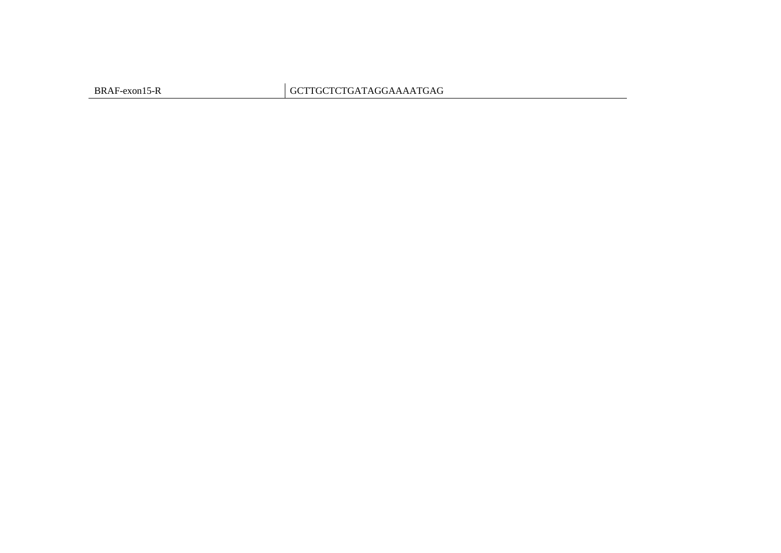BRAF-exon15-R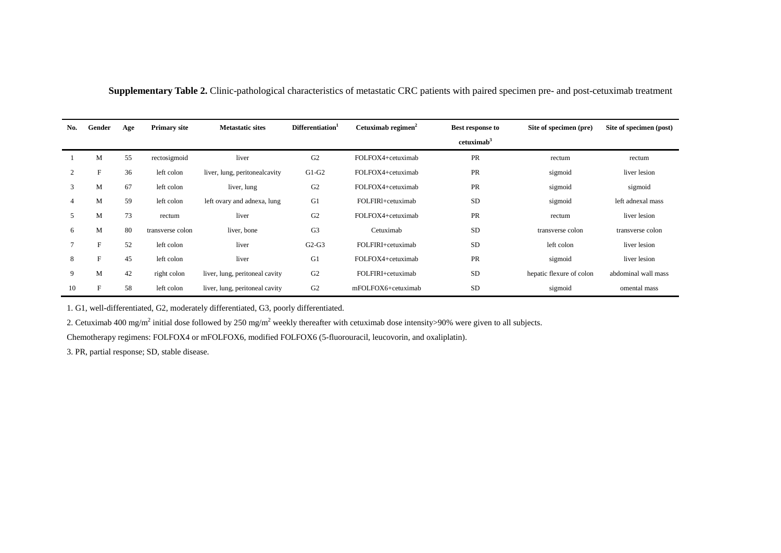| No. | Gender                    | Age | <b>Primary site</b> | <b>Metastatic sites</b>        | Differentiation <sup>1</sup> | Cetuximab regimen <sup>2</sup> | <b>Best response to</b><br>cetuximab <sup>3</sup> | Site of specimen (pre)   | Site of specimen (post) |
|-----|---------------------------|-----|---------------------|--------------------------------|------------------------------|--------------------------------|---------------------------------------------------|--------------------------|-------------------------|
|     | M                         | 55  | rectosigmoid        | liver                          | G <sub>2</sub>               | FOLFOX4+cetuximab              | PR                                                | rectum                   | rectum                  |
| 2   | $\boldsymbol{\mathrm{F}}$ | 36  | left colon          | liver, lung, peritonealcavity  | $G1-G2$                      | FOLFOX4+cetuximab              | PR                                                | sigmoid                  | liver lesion            |
| 3   | M                         | 67  | left colon          | liver, lung                    | G <sub>2</sub>               | FOLFOX4+cetuximab              | PR                                                | sigmoid                  | sigmoid                 |
| 4   | M                         | 59  | left colon          | left ovary and adnexa, lung    | G1                           | FOLFIRI+cetuximab              | <b>SD</b>                                         | sigmoid                  | left adnexal mass       |
| 5   | M                         | 73  | rectum              | liver                          | G <sub>2</sub>               | FOLFOX4+cetuximab              | PR                                                | rectum                   | liver lesion            |
| 6   | M                         | 80  | transverse colon    | liver, bone                    | G <sub>3</sub>               | Cetuximab                      | <b>SD</b>                                         | transverse colon         | transverse colon        |
|     | F                         | 52  | left colon          | liver                          | $G2-G3$                      | FOLFIRI+cetuximab              | <b>SD</b>                                         | left colon               | liver lesion            |
| 8   | F                         | 45  | left colon          | liver                          | G1                           | FOLFOX4+cetuximab              | PR                                                | sigmoid                  | liver lesion            |
| 9   | M                         | 42  | right colon         | liver, lung, peritoneal cavity | G <sub>2</sub>               | FOLFIRI+cetuximab              | <b>SD</b>                                         | hepatic flexure of colon | abdominal wall mass     |
| 10  | F                         | 58  | left colon          | liver, lung, peritoneal cavity | G <sub>2</sub>               | mFOLFOX6+cetuximab             | <b>SD</b>                                         | sigmoid                  | omental mass            |

**Supplementary Table 2.** Clinic-pathological characteristics of metastatic CRC patients with paired specimen pre- and post-cetuximab treatment

1. G1, well-differentiated, G2, moderately differentiated, G3, poorly differentiated.

2. Cetuximab 400 mg/m<sup>2</sup> initial dose followed by 250 mg/m<sup>2</sup> weekly thereafter with cetuximab dose intensity>90% were given to all subjects.

Chemotherapy regimens: FOLFOX4 or mFOLFOX6, modified FOLFOX6 (5-fluorouracil, leucovorin, and oxaliplatin).

3. PR, partial response; SD, stable disease.